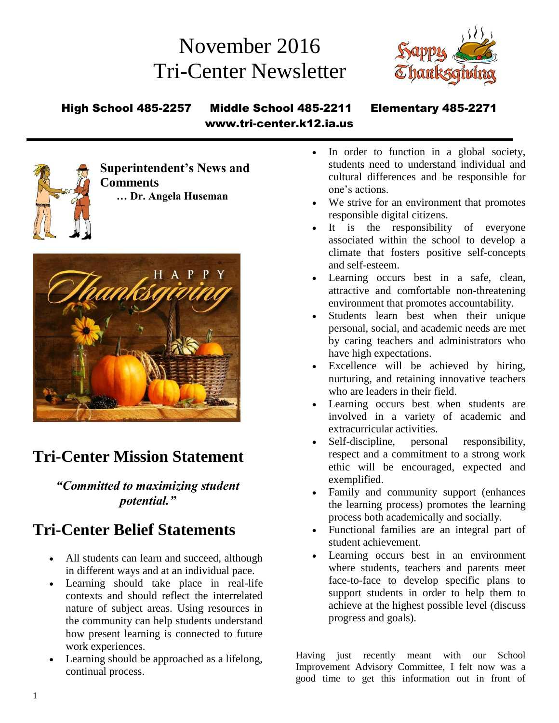# November 2016 Tri-Center Newsletter



#### High School 485-2257 Middle School 485-2211 Elementary 485-2271 www.tri-center.k12.ia.us



**Superintendent's News and Comments … Dr. Angela Huseman**



# **Tri-Center Mission Statement**

*"Committed to maximizing student potential."*

# **Tri-Center Belief Statements**

- All students can learn and succeed, although in different ways and at an individual pace.
- Learning should take place in real-life contexts and should reflect the interrelated nature of subject areas. Using resources in the community can help students understand how present learning is connected to future work experiences.
- Learning should be approached as a lifelong, continual process.
- In order to function in a global society, students need to understand individual and cultural differences and be responsible for one's actions.
- We strive for an environment that promotes responsible digital citizens.
- It is the responsibility of everyone associated within the school to develop a climate that fosters positive self-concepts and self-esteem.
- Learning occurs best in a safe, clean, attractive and comfortable non-threatening environment that promotes accountability.
- Students learn best when their unique personal, social, and academic needs are met by caring teachers and administrators who have high expectations.
- Excellence will be achieved by hiring, nurturing, and retaining innovative teachers who are leaders in their field.
- Learning occurs best when students are involved in a variety of academic and extracurricular activities.
- Self-discipline, personal responsibility, respect and a commitment to a strong work ethic will be encouraged, expected and exemplified.
- Family and community support (enhances the learning process) promotes the learning process both academically and socially.
- Functional families are an integral part of student achievement.
- Learning occurs best in an environment where students, teachers and parents meet face-to-face to develop specific plans to support students in order to help them to achieve at the highest possible level (discuss progress and goals).

Having just recently meant with our School Improvement Advisory Committee, I felt now was a good time to get this information out in front of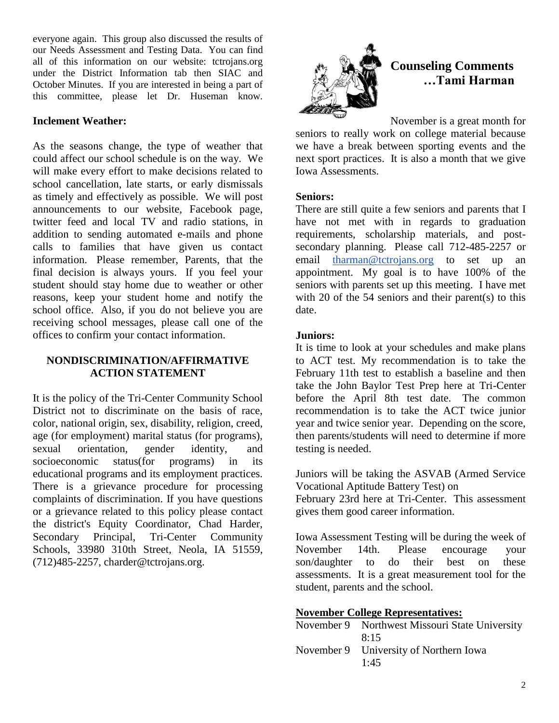everyone again. This group also discussed the results of our Needs Assessment and Testing Data. You can find all of this information on our website: tctrojans.org under the District Information tab then SIAC and October Minutes. If you are interested in being a part of this committee, please let Dr. Huseman know.

#### **Inclement Weather:**

As the seasons change, the type of weather that could affect our school schedule is on the way. We will make every effort to make decisions related to school cancellation, late starts, or early dismissals as timely and effectively as possible. We will post announcements to our website, Facebook page, twitter feed and local TV and radio stations, in addition to sending automated e-mails and phone calls to families that have given us contact information. Please remember, Parents, that the final decision is always yours. If you feel your student should stay home due to weather or other reasons, keep your student home and notify the school office. Also, if you do not believe you are receiving school messages, please call one of the offices to confirm your contact information.

#### **NONDISCRIMINATION/AFFIRMATIVE ACTION STATEMENT**

It is the policy of the Tri-Center Community School District not to discriminate on the basis of race, color, national origin, sex, disability, religion, creed, age (for employment) marital status (for programs), sexual orientation, gender identity, and socioeconomic status(for programs) in its educational programs and its employment practices. There is a grievance procedure for processing complaints of discrimination. If you have questions or a grievance related to this policy please contact the district's Equity Coordinator, Chad Harder, Secondary Principal, Tri-Center Community Schools, 33980 310th Street, Neola, IA 51559, (712)485-2257, charder@tctrojans.org.



## **Counseling Comments …Tami Harman**

November is a great month for

seniors to really work on college material because we have a break between sporting events and the next sport practices. It is also a month that we give Iowa Assessments.

#### **Seniors:**

There are still quite a few seniors and parents that I have not met with in regards to graduation requirements, scholarship materials, and postsecondary planning. Please call 712-485-2257 or email [tharman@tctrojans.org](mailto:tharman@tctrojans.org) to set up an appointment. My goal is to have 100% of the seniors with parents set up this meeting. I have met with 20 of the 54 seniors and their parent(s) to this date.

#### **Juniors:**

It is time to look at your schedules and make plans to ACT test. My recommendation is to take the February 11th test to establish a baseline and then take the John Baylor Test Prep here at Tri-Center before the April 8th test date. The common recommendation is to take the ACT twice junior year and twice senior year. Depending on the score, then parents/students will need to determine if more testing is needed.

Juniors will be taking the ASVAB (Armed Service Vocational Aptitude Battery Test) on February 23rd here at Tri-Center. This assessment gives them good career information.

Iowa Assessment Testing will be during the week of November 14th. Please encourage your son/daughter to do their best on these assessments. It is a great measurement tool for the student, parents and the school.

#### **November College Representatives:**

| November 9 Northwest Missouri State University<br>8:15 |
|--------------------------------------------------------|
| November 9 University of Northern Iowa<br>1:45         |